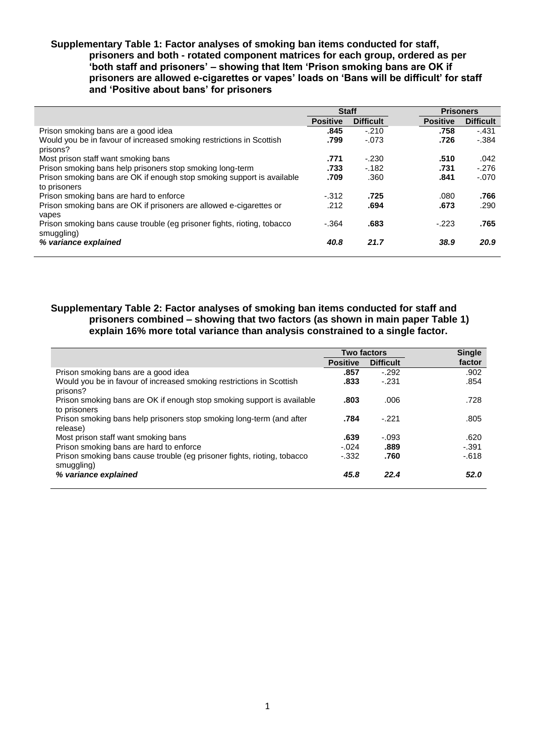## **Supplementary Table 1: Factor analyses of smoking ban items conducted for staff, prisoners and both - rotated component matrices for each group, ordered as per 'both staff and prisoners' – showing that Item 'Prison smoking bans are OK if prisoners are allowed e-cigarettes or vapes' loads on 'Bans will be difficult' for staff and 'Positive about bans' for prisoners**

|                                                                                        | <b>Staff</b>    |                  |                 | <b>Prisoners</b> |  |
|----------------------------------------------------------------------------------------|-----------------|------------------|-----------------|------------------|--|
|                                                                                        | <b>Positive</b> | <b>Difficult</b> | <b>Positive</b> | <b>Difficult</b> |  |
| Prison smoking bans are a good idea                                                    | .845            | $-.210$          | .758            | $-.431$          |  |
| Would you be in favour of increased smoking restrictions in Scottish<br>prisons?       | .799            | $-.073$          | .726            | $-384$           |  |
| Most prison staff want smoking bans                                                    | .771            | $-.230$          | .510            | .042             |  |
| Prison smoking bans help prisoners stop smoking long-term                              | .733            | $-182$           | .731            | $-.276$          |  |
| Prison smoking bans are OK if enough stop smoking support is available<br>to prisoners | .709            | .360             | .841            | $-.070$          |  |
| Prison smoking bans are hard to enforce                                                | $-312$          | .725             | .080            | .766             |  |
| Prison smoking bans are OK if prisoners are allowed e-cigarettes or<br>vapes           | .212            | .694             | .673            | .290             |  |
| Prison smoking bans cause trouble (eg prisoner fights, rioting, tobacco<br>smuggling)  | $-.364$         | .683             | $-.223$         | .765             |  |
| % variance explained                                                                   | 40.8            | 21.7             | 38.9            | 20.9             |  |

# **Supplementary Table 2: Factor analyses of smoking ban items conducted for staff and prisoners combined – showing that two factors (as shown in main paper Table 1) explain 16% more total variance than analysis constrained to a single factor.**

|                                                                                        | <b>Two factors</b> |                  | <b>Single</b> |  |
|----------------------------------------------------------------------------------------|--------------------|------------------|---------------|--|
|                                                                                        | <b>Positive</b>    | <b>Difficult</b> | factor        |  |
| Prison smoking bans are a good idea                                                    | .857               | $-.292$          | .902          |  |
| Would you be in favour of increased smoking restrictions in Scottish<br>prisons?       | .833               | $-.231$          | .854          |  |
| Prison smoking bans are OK if enough stop smoking support is available<br>to prisoners | .803               | .006             | .728          |  |
| Prison smoking bans help prisoners stop smoking long-term (and after<br>release)       | .784               | $-.221$          | .805          |  |
| Most prison staff want smoking bans                                                    | .639               | $-.093$          | .620          |  |
| Prison smoking bans are hard to enforce                                                | $-.024$            | .889             | $-.391$       |  |
| Prison smoking bans cause trouble (eg prisoner fights, rioting, tobacco<br>smuggling)  | $-332$             | .760             | $-618$        |  |
| % variance explained                                                                   | 45.8               | 22.4             | 52.0          |  |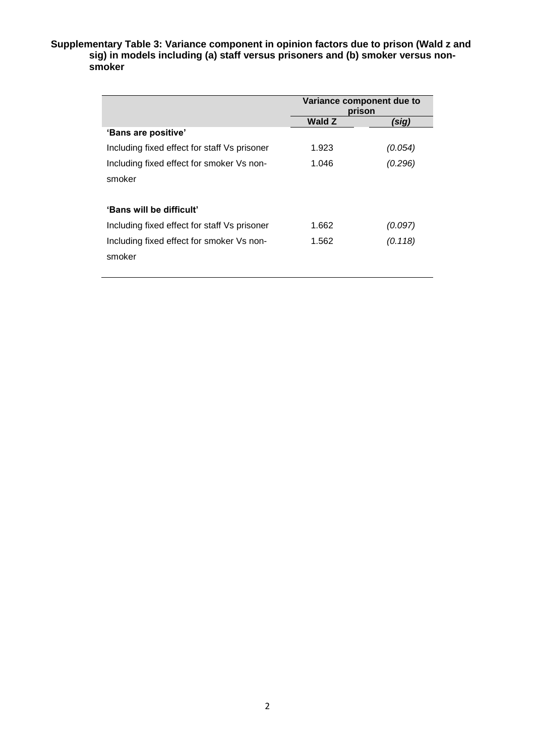### **Supplementary Table 3: Variance component in opinion factors due to prison (Wald z and sig) in models including (a) staff versus prisoners and (b) smoker versus nonsmoker**

|                                              | Variance component due to<br>prison |         |  |
|----------------------------------------------|-------------------------------------|---------|--|
|                                              | <b>Wald Z</b>                       | (sig)   |  |
| 'Bans are positive'                          |                                     |         |  |
| Including fixed effect for staff Vs prisoner | 1.923                               | (0.054) |  |
| Including fixed effect for smoker Vs non-    | 1.046                               | (0.296) |  |
| smoker                                       |                                     |         |  |
|                                              |                                     |         |  |
| 'Bans will be difficult'                     |                                     |         |  |
| Including fixed effect for staff Vs prisoner | 1.662                               | (0.097) |  |
| Including fixed effect for smoker Vs non-    | 1.562                               | (0.118) |  |
| smoker                                       |                                     |         |  |
|                                              |                                     |         |  |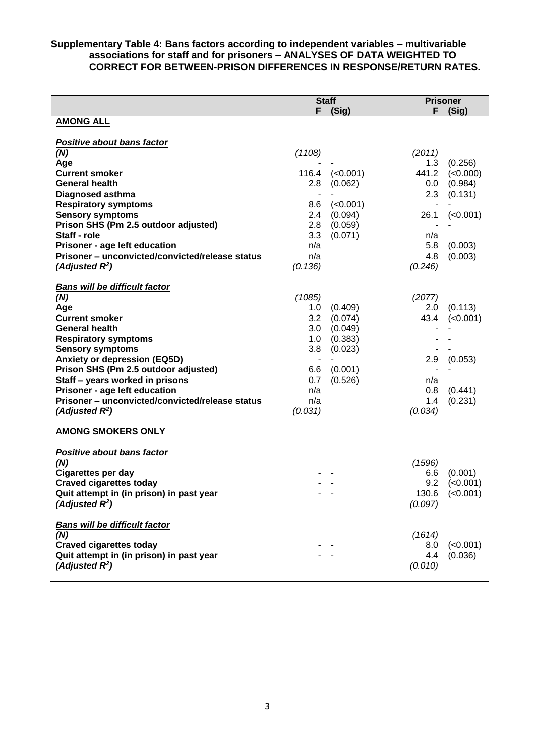### **Supplementary Table 4: Bans factors according to independent variables – multivariable associations for staff and for prisoners – ANALYSES OF DATA WEIGHTED TO CORRECT FOR BETWEEN-PRISON DIFFERENCES IN RESPONSE/RETURN RATES.**

|                                                 | <b>Staff</b> |          |               | <b>Prisoner</b>      |  |
|-------------------------------------------------|--------------|----------|---------------|----------------------|--|
|                                                 | F            | (Sig)    | F.            | (Sig)                |  |
| <b>AMONG ALL</b>                                |              |          |               |                      |  |
|                                                 |              |          |               |                      |  |
| <b>Positive about bans factor</b>               |              |          |               |                      |  |
| (N)                                             | (1108)       |          | (2011)        |                      |  |
| Age                                             |              |          | 1.3           | (0.256)              |  |
| <b>Current smoker</b>                           | 116.4        | (<0.001) | 441.2         | (<0.000)             |  |
| <b>General health</b>                           | 2.8          | (0.062)  | 0.0           | (0.984)              |  |
| <b>Diagnosed asthma</b>                         |              |          | 2.3           | (0.131)              |  |
| <b>Respiratory symptoms</b>                     | 8.6          | (<0.001) |               |                      |  |
| <b>Sensory symptoms</b>                         | 2.4          | (0.094)  | 26.1          | (<0.001)             |  |
| Prison SHS (Pm 2.5 outdoor adjusted)            | 2.8          | (0.059)  |               |                      |  |
| Staff - role                                    | 3.3          | (0.071)  | n/a           |                      |  |
| Prisoner - age left education                   | n/a          |          | 5.8           | (0.003)              |  |
| Prisoner - unconvicted/convicted/release status | n/a          |          | 4.8           | (0.003)              |  |
| (Adjusted $R^2$ )                               | (0.136)      |          | (0.246)       |                      |  |
|                                                 |              |          |               |                      |  |
| <b>Bans will be difficult factor</b>            | (1085)       |          |               |                      |  |
| (N)                                             | 1.0          | (0.409)  | (2077)<br>2.0 | (0.113)              |  |
| Age<br><b>Current smoker</b>                    | 3.2          | (0.074)  | 43.4          | (<0.001)             |  |
| <b>General health</b>                           | 3.0          | (0.049)  |               |                      |  |
| <b>Respiratory symptoms</b>                     | 1.0          | (0.383)  |               |                      |  |
| <b>Sensory symptoms</b>                         | 3.8          | (0.023)  |               |                      |  |
| <b>Anxiety or depression (EQ5D)</b>             |              |          | 2.9           | (0.053)              |  |
| Prison SHS (Pm 2.5 outdoor adjusted)            | 6.6          | (0.001)  |               |                      |  |
| Staff - years worked in prisons                 | 0.7          | (0.526)  | n/a           |                      |  |
| Prisoner - age left education                   | n/a          |          | 0.8           | (0.441)              |  |
| Prisoner - unconvicted/convicted/release status | n/a          |          | 1.4           | (0.231)              |  |
| (Adjusted $R^2$ )                               | (0.031)      |          | (0.034)       |                      |  |
|                                                 |              |          |               |                      |  |
| <b>AMONG SMOKERS ONLY</b>                       |              |          |               |                      |  |
| <b>Positive about bans factor</b>               |              |          |               |                      |  |
| (N)                                             |              |          | (1596)        |                      |  |
| <b>Cigarettes per day</b>                       |              |          | 6.6           | (0.001)              |  |
| <b>Craved cigarettes today</b>                  |              |          | 9.2           | (<0.001)             |  |
| Quit attempt in (in prison) in past year        |              |          |               | $130.6$ (< $0.001$ ) |  |
| (Adjusted $R^2$ )                               |              |          | (0.097)       |                      |  |
| <b>Bans will be difficult factor</b>            |              |          |               |                      |  |
| (N)                                             |              |          | (1614)        |                      |  |
| <b>Craved cigarettes today</b>                  |              |          | 8.0           | (<0.001)             |  |
| Quit attempt in (in prison) in past year        |              |          | 4.4           | (0.036)              |  |
| (Adjusted $R^2$ )                               |              |          | (0.010)       |                      |  |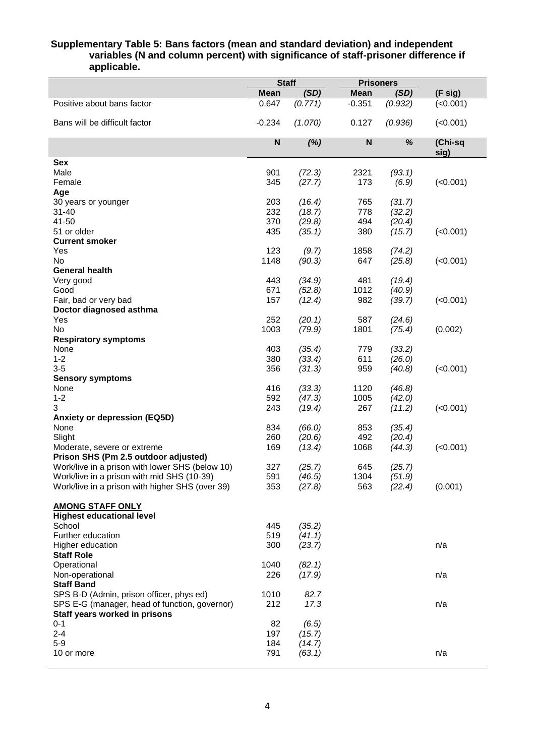### **Supplementary Table 5: Bans factors (mean and standard deviation) and independent variables (N and column percent) with significance of staff-prisoner difference if applicable.**

|                                                 |             | <b>Staff</b> |             | <b>Prisoners</b> |                 |
|-------------------------------------------------|-------------|--------------|-------------|------------------|-----------------|
|                                                 | <b>Mean</b> | (SD)         | <b>Mean</b> | (SD)             | (F sig)         |
| Positive about bans factor                      | 0.647       | (0.771)      | $-0.351$    | (0.932)          | (<0.001)        |
| Bans will be difficult factor                   | $-0.234$    | (1.070)      | 0.127       | (0.936)          | (<0.001)        |
|                                                 | N           | (%)          | N           | %                | (Chi-sq<br>sig) |
| <b>Sex</b>                                      |             |              |             |                  |                 |
| Male                                            | 901         | (72.3)       | 2321        | (93.1)           |                 |
| Female                                          | 345         | (27.7)       | 173         | (6.9)            | (<0.001)        |
| Age                                             |             |              |             |                  |                 |
| 30 years or younger                             | 203         | (16.4)       | 765         | (31.7)           |                 |
| $31 - 40$                                       | 232         | (18.7)       | 778         | (32.2)           |                 |
| 41-50                                           | 370         | (29.8)       | 494         | (20.4)           |                 |
| 51 or older                                     | 435         | (35.1)       | 380         | (15.7)           | (<0.001)        |
| <b>Current smoker</b>                           |             |              |             |                  |                 |
| Yes                                             | 123         | (9.7)        | 1858        | (74.2)           |                 |
| No                                              | 1148        | (90.3)       | 647         | (25.8)           | (<0.001)        |
| <b>General health</b>                           |             |              |             |                  |                 |
| Very good                                       | 443         | (34.9)       | 481         | (19.4)           |                 |
| Good                                            | 671         | (52.8)       | 1012        | (40.9)           |                 |
| Fair, bad or very bad                           | 157         | (12.4)       | 982         | (39.7)           | (<0.001)        |
| Doctor diagnosed asthma                         |             |              |             |                  |                 |
| Yes                                             | 252         | (20.1)       | 587         | (24.6)           |                 |
| No                                              | 1003        | (79.9)       | 1801        | (75.4)           | (0.002)         |
| <b>Respiratory symptoms</b>                     |             |              |             |                  |                 |
| None                                            | 403         | (35.4)       | 779         | (33.2)           |                 |
| $1 - 2$                                         | 380         | (33.4)       | 611         | (26.0)           |                 |
| $3-5$                                           | 356         | (31.3)       | 959         | (40.8)           | (<0.001)        |
| <b>Sensory symptoms</b>                         |             |              |             |                  |                 |
| None                                            | 416         | (33.3)       | 1120        | (46.8)           |                 |
| $1 - 2$                                         | 592         | (47.3)       | 1005        | (42.0)           |                 |
| 3                                               | 243         | (19.4)       | 267         | (11.2)           | (<0.001)        |
| <b>Anxiety or depression (EQ5D)</b>             |             |              |             |                  |                 |
| None                                            | 834         | (66.0)       | 853         | (35.4)           |                 |
| Slight                                          | 260         | (20.6)       | 492         | (20.4)           |                 |
| Moderate, severe or extreme                     | 169         | (13.4)       | 1068        | (44.3)           | (<0.001)        |
| Prison SHS (Pm 2.5 outdoor adjusted)            |             |              |             |                  |                 |
| Work/live in a prison with lower SHS (below 10) | 327         | (25.7)       | 645         | (25.7)           |                 |
| Work/live in a prison with mid SHS (10-39)      | 591         | (46.5)       | 1304        | (51.9)           |                 |
| Work/live in a prison with higher SHS (over 39) | 353         | (27.8)       | 563         | (22.4)           | (0.001)         |
|                                                 |             |              |             |                  |                 |
| <b>AMONG STAFF ONLY</b>                         |             |              |             |                  |                 |
| <b>Highest educational level</b>                |             |              |             |                  |                 |
| School                                          | 445         | (35.2)       |             |                  |                 |
| Further education                               | 519         | (41.1)       |             |                  |                 |
| Higher education                                | 300         | (23.7)       |             |                  | n/a             |
| <b>Staff Role</b>                               |             |              |             |                  |                 |
| Operational                                     | 1040        | (82.1)       |             |                  |                 |
| Non-operational                                 | 226         | (17.9)       |             |                  | n/a             |
| <b>Staff Band</b>                               |             |              |             |                  |                 |
| SPS B-D (Admin, prison officer, phys ed)        | 1010        | 82.7         |             |                  |                 |
| SPS E-G (manager, head of function, governor)   | 212         | 17.3         |             |                  | n/a             |
| Staff years worked in prisons                   |             |              |             |                  |                 |
| $0 - 1$                                         | 82          | (6.5)        |             |                  |                 |
| $2 - 4$                                         | 197         | (15.7)       |             |                  |                 |
| $5-9$                                           | 184         | (14.7)       |             |                  |                 |
| 10 or more                                      | 791         | (63.1)       |             |                  | n/a             |
|                                                 |             |              |             |                  |                 |